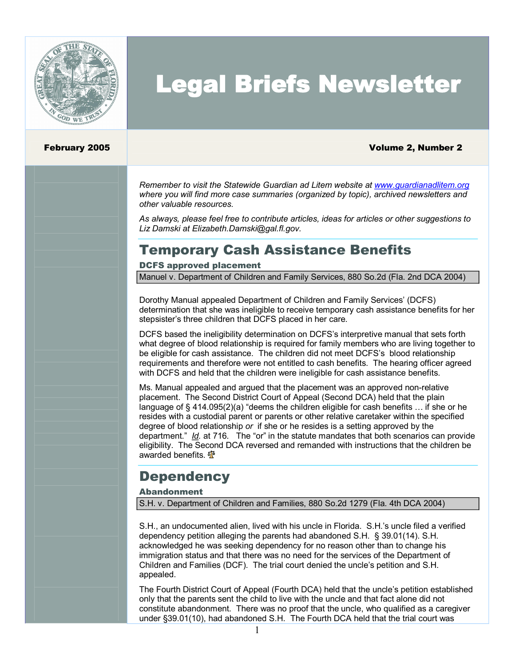

# Legal Briefs Newsletter

#### February 2005 Volume 2, Number 2

*Remember to visit the Statewide Guardian ad Litem website at [www.guardianadlitem.org](http://www.guardianadlitem.org/) where you will find more case summaries (organized by topic), archived newsletters and other valuable resources.*

*As always, please feel free to contribute articles, ideas for articles or other suggestions to Liz Damski at Elizabeth.Damski@gal.fl.gov.*

### Temporary Cash Assistance Benefits

#### DCFS approved placement

Manuel v. Department of Children and Family Services, 880 So.2d (Fla. 2nd DCA 2004)

Dorothy Manual appealed Department of Children and Family Services' (DCFS) determination that she was ineligible to receive temporary cash assistance benefits for her stepsister's three children that DCFS placed in her care.

DCFS based the ineligibility determination on DCFS's interpretive manual that sets forth what degree of blood relationship is required for family members who are living together to be eligible for cash assistance. The children did not meet DCFS's blood relationship requirements and therefore were not entitled to cash benefits. The hearing officer agreed with DCFS and held that the children were ineligible for cash assistance benefits.

Ms. Manual appealed and argued that the placement was an approved non-relative placement. The Second District Court of Appeal (Second DCA) held that the plain language of § 414.095(2)(a) "deems the children eligible for cash benefits … if she or he resides with a custodial parent or parents or other relative caretaker within the specified degree of blood relationship *or* if she or he resides is a setting approved by the department." *Id.* at 716*.* The "or" in the statute mandates that both scenarios can provide eligibility. The Second DCA reversed and remanded with instructions that the children be awarded benefits.  $\frac{5}{3}$ 

### **Dependency**

#### Abandonment

S.H. v. Department of Children and Families, 880 So.2d 1279 (Fla. 4th DCA 2004)

S.H., an undocumented alien, lived with his uncle in Florida. S.H.'s uncle filed a verified dependency petition alleging the parents had abandoned S.H. § 39.01(14). S.H. acknowledged he was seeking dependency for no reason other than to change his immigration status and that there was no need for the services of the Department of Children and Families (DCF). The trial court denied the uncle's petition and S.H. appealed.

The Fourth District Court of Appeal (Fourth DCA) held that the uncle's petition established only that the parents sent the child to live with the uncle and that fact alone did not constitute abandonment. There was no proof that the uncle, who qualified as a caregiver under §39.01(10), had abandoned S.H. The Fourth DCA held that the trial court was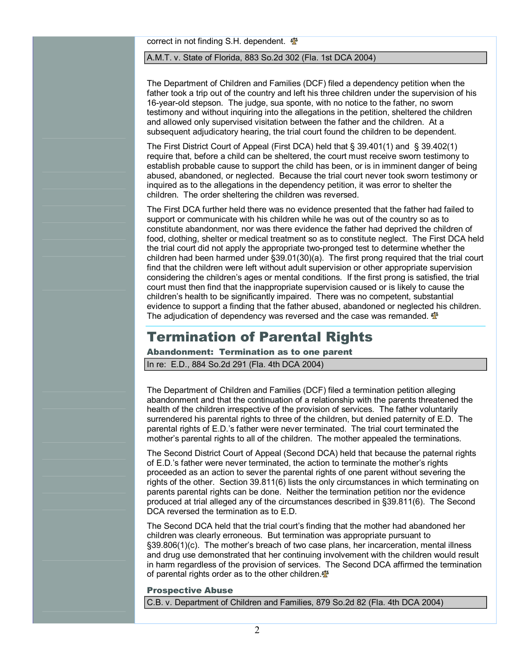correct in not finding S.H. dependent.  $\Phi$ 

#### A.M.T. v. State of Florida, 883 So.2d 302 (Fla. 1st DCA 2004)

The Department of Children and Families (DCF) filed a dependency petition when the father took a trip out of the country and left his three children under the supervision of his 16-year-old stepson. The judge, sua sponte, with no notice to the father, no sworn testimony and without inquiring into the allegations in the petition, sheltered the children and allowed only supervised visitation between the father and the children. At a subsequent adjudicatory hearing, the trial court found the children to be dependent.

The First District Court of Appeal (First DCA) held that § 39.401(1) and § 39.402(1) require that, before a child can be sheltered, the court must receive sworn testimony to establish probable cause to support the child has been, or is in imminent danger of being abused, abandoned, or neglected. Because the trial court never took sworn testimony or inquired as to the allegations in the dependency petition, it was error to shelter the children. The order sheltering the children was reversed.

The First DCA further held there was no evidence presented that the father had failed to support or communicate with his children while he was out of the country so as to constitute abandonment, nor was there evidence the father had deprived the children of food, clothing, shelter or medical treatment so as to constitute neglect. The First DCA held the trial court did not apply the appropriate two-pronged test to determine whether the children had been harmed under §39.01(30)(a). The first prong required that the trial court find that the children were left without adult supervision or other appropriate supervision considering the children's ages or mental conditions. If the first prong is satisfied, the trial court must then find that the inappropriate supervision caused or is likely to cause the children's health to be significantly impaired. There was no competent, substantial evidence to support a finding that the father abused, abandoned or neglected his children. The adjudication of dependency was reversed and the case was remanded.  $\mathbf{\Phi}$ 

### Termination of Parental Rights

### Abandonment: Termination as to one parent

In re: E.D., 884 So.2d 291 (Fla. 4th DCA 2004)

The Department of Children and Families (DCF) filed a termination petition alleging abandonment and that the continuation of a relationship with the parents threatened the health of the children irrespective of the provision of services. The father voluntarily surrendered his parental rights to three of the children, but denied paternity of E.D. The parental rights of E.D.'s father were never terminated. The trial court terminated the mother's parental rights to all of the children. The mother appealed the terminations.

The Second District Court of Appeal (Second DCA) held that because the paternal rights of E.D.'s father were never terminated, the action to terminate the mother's rights proceeded as an action to sever the parental rights of one parent without severing the rights of the other. Section 39.811(6) lists the only circumstances in which terminating on parents parental rights can be done. Neither the termination petition nor the evidence produced at trial alleged any of the circumstances described in §39.811(6). The Second DCA reversed the termination as to F.D.

The Second DCA held that the trial court's finding that the mother had abandoned her children was clearly erroneous. But termination was appropriate pursuant to §39.806(1)(c). The mother's breach of two case plans, her incarceration, mental illness and drug use demonstrated that her continuing involvement with the children would result in harm regardless of the provision of services. The Second DCA affirmed the termination of parental rights order as to the other children. $\Phi$ 

#### Prospective Abuse

C.B. v. Department of Children and Families, 879 So.2d 82 (Fla. 4th DCA 2004)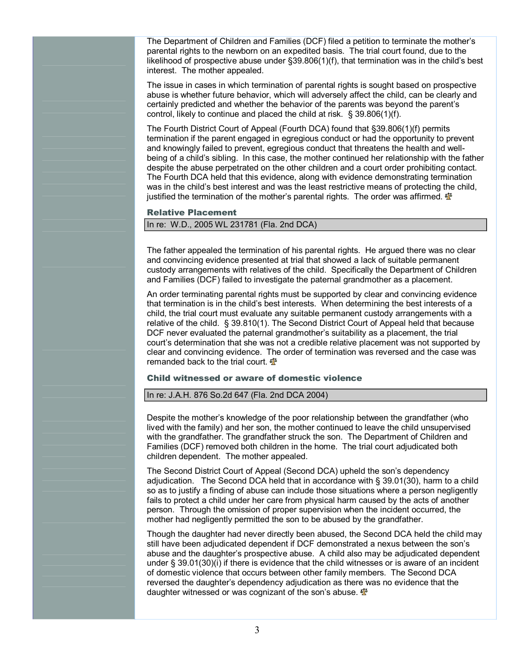The Department of Children and Families (DCF) filed a petition to terminate the mother's parental rights to the newborn on an expedited basis. The trial court found, due to the likelihood of prospective abuse under §39.806(1)(f), that termination was in the child's best interest. The mother appealed.

The issue in cases in which termination of parental rights is sought based on prospective abuse is whether future behavior, which will adversely affect the child, can be clearly and certainly predicted and whether the behavior of the parents was beyond the parent's control, likely to continue and placed the child at risk. § 39.806(1)(f).

The Fourth District Court of Appeal (Fourth DCA) found that §39.806(1)(f) permits termination if the parent engaged in egregious conduct or had the opportunity to prevent and knowingly failed to prevent, egregious conduct that threatens the health and well being of a child's sibling. In this case, the mother continued her relationship with the father despite the abuse perpetrated on the other children and a court order prohibiting contact. The Fourth DCA held that this evidence, along with evidence demonstrating termination was in the child's best interest and was the least restrictive means of protecting the child, justified the termination of the mother's parental rights. The order was affirmed.  $\mathbf{\Phi}$ 

#### Relative Placement

#### In re: W.D., 2005 WL 231781 (Fla. 2nd DCA)

The father appealed the termination of his parental rights. He argued there was no clear and convincing evidence presented at trial that showed a lack of suitable permanent custody arrangements with relatives of the child. Specifically the Department of Children and Families (DCF) failed to investigate the paternal grandmother as a placement.

An order terminating parental rights must be supported by clear and convincing evidence that termination is in the child's best interests. When determining the best interests of a child, the trial court must evaluate any suitable permanent custody arrangements with a relative of the child. § 39.810(1). The Second District Court of Appeal held that because DCF never evaluated the paternal grandmother's suitability as a placement, the trial court's determination that she was not a credible relative placement was not supported by clear and convincing evidence. The order of termination was reversed and the case was remanded back to the trial court.  $\mathbf{\Phi}$ 

#### Child witnessed or aware of domestic violence

#### In re: J.A.H. 876 So.2d 647 (Fla. 2nd DCA 2004)

Despite the mother's knowledge of the poor relationship between the grandfather (who lived with the family) and her son, the mother continued to leave the child unsupervised with the grandfather. The grandfather struck the son. The Department of Children and Families (DCF) removed both children in the home. The trial court adjudicated both children dependent. The mother appealed.

The Second District Court of Appeal (Second DCA) upheld the son's dependency adjudication. The Second DCA held that in accordance with § 39.01(30), harm to a child so as to justify a finding of abuse can include those situations where a person negligently fails to protect a child under her care from physical harm caused by the acts of another person. Through the omission of proper supervision when the incident occurred, the mother had negligently permitted the son to be abused by the grandfather.

Though the daughter had never directly been abused, the Second DCA held the child may still have been adjudicated dependent if DCF demonstrated a nexus between the son's abuse and the daughter's prospective abuse. A child also may be adjudicated dependent under § 39.01(30)(i) if there is evidence that the child witnesses or is aware of an incident of domestic violence that occurs between other family members. The Second DCA reversed the daughter's dependency adjudication as there was no evidence that the daughter witnessed or was cognizant of the son's abuse.  $\mathbf{\Phi}$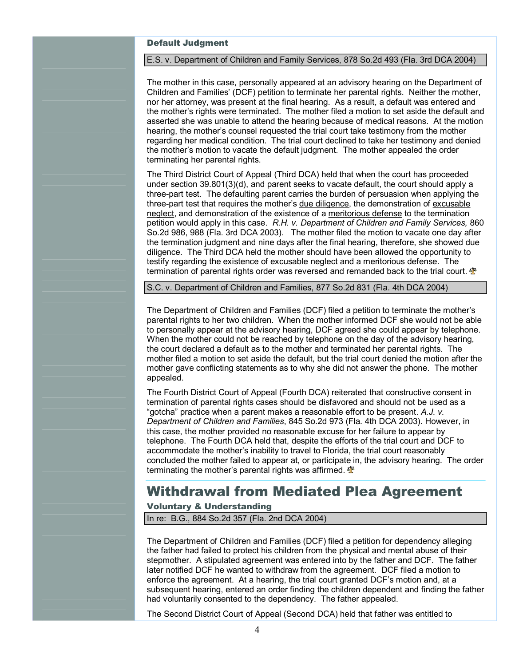#### Default Judgment

#### E.S. v. Department of Children and Family Services, 878 So.2d 493 (Fla. 3rd DCA 2004)

The mother in this case, personally appeared at an advisory hearing on the Department of Children and Families' (DCF) petition to terminate her parental rights. Neither the mother, nor her attorney, was present at the final hearing. As a result, a default was entered and the mother's rights were terminated. The mother filed a motion to set aside the default and asserted she was unable to attend the hearing because of medical reasons. At the motion hearing, the mother's counsel requested the trial court take testimony from the mother regarding her medical condition. The trial court declined to take her testimony and denied the mother's motion to vacate the default judgment. The mother appealed the order terminating her parental rights.

The Third District Court of Appeal (Third DCA) held that when the court has proceeded under section 39.801(3)(d), and parent seeks to vacate default, the court should apply a three-part test. The defaulting parent carries the burden of persuasion when applying the three-part test that requires the mother's due diligence, the demonstration of excusable neglect, and demonstration of the existence of a meritorious defense to the termination petition would apply in this case. *R.H. v. Department of Children and Family Services,* 860 So.2d 986, 988 (Fla. 3rd DCA 2003). The mother filed the motion to vacate one day after the termination judgment and nine days after the final hearing, therefore, she showed due diligence. The Third DCA held the mother should have been allowed the opportunity to testify regarding the existence of excusable neglect and a meritorious defense. The termination of parental rights order was reversed and remanded back to the trial court.  $\mathbf{\Phi}$ 

S.C. v. Department of Children and Families, 877 So.2d 831 (Fla. 4th DCA 2004)

The Department of Children and Families (DCF) filed a petition to terminate the mother's parental rights to her two children. When the mother informed DCF she would not be able to personally appear at the advisory hearing, DCF agreed she could appear by telephone. When the mother could not be reached by telephone on the day of the advisory hearing, the court declared a default as to the mother and terminated her parental rights. The mother filed a motion to set aside the default, but the trial court denied the motion after the mother gave conflicting statements as to why she did not answer the phone. The mother appealed.

The Fourth District Court of Appeal (Fourth DCA) reiterated that constructive consent in termination of parental rights cases should be disfavored and should not be used as a "gotcha" practice when a parent makes a reasonable effort to be present. *A.J. v. Department of Children and Families*, 845 So.2d 973 (Fla. 4th DCA 2003). However, in this case, the mother provided no reasonable excuse for her failure to appear by telephone. The Fourth DCA held that, despite the efforts of the trial court and DCF to accommodate the mother's inability to travel to Florida, the trial court reasonably concluded the mother failed to appear at, or participate in, the advisory hearing. The order terminating the mother's parental rights was affirmed.  $\mathbf{\Phi}$ 

### Withdrawal from Mediated Plea Agreement

#### Voluntary & Understanding

In re: B.G., 884 So.2d 357 (Fla. 2nd DCA 2004)

The Department of Children and Families (DCF) filed a petition for dependency alleging the father had failed to protect his children from the physical and mental abuse of their stepmother. A stipulated agreement was entered into by the father and DCF. The father later notified DCF he wanted to withdraw from the agreement. DCF filed a motion to enforce the agreement. At a hearing, the trial court granted DCF's motion and, at a subsequent hearing, entered an order finding the children dependent and finding the father had voluntarily consented to the dependency. The father appealed.

The Second District Court of Appeal (Second DCA) held that father was entitled to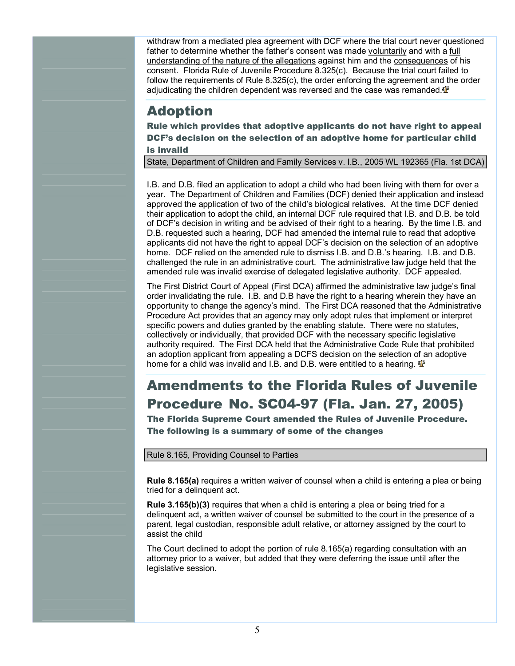withdraw from amediated plea agreement with DCF where the trial court never questioned father to determine whether the father's consent was made voluntarily and with a full understanding of the nature of the allegations against him and the consequences of his consent. Florida Rule of Juvenile Procedure 8.325(c). Because the trial court failed to follow the requirements of Rule 8.325(c), the order enforcing the agreement and the order adjudicating the children dependent was reversed and the case was remanded. $\mathbf{\Phi}$ 

### Adoption

Rule which provides that adoptive applicants do not have right to appeal DCF's decision on the selection of an adoptive home for particular child is invalid

State, Department of Children and Family Services v. I.B., 2005 WL 192365 (Fla. 1st DCA)

I.B. and D.B. filed an application to adopt a child who had been living with them for over a year. The Department of Children and Families (DCF) denied their application and instead approved the application of two of the child's biological relatives. At the time DCF denied their application to adopt the child, an internal DCF rule required that I.B. and D.B. be told of DCF's decision in writing and be advised of their right to a hearing. By the time I.B. and D.B. requested such a hearing, DCF had amended the internal rule to read that adoptive applicants did not have the right to appeal DCF's decision on the selection of an adoptive home. DCF relied on the amended rule to dismiss I.B. and D.B.'s hearing. I.B. and D.B. challenged the rule in an administrative court. The administrative law judge held that the amended rule was invalid exercise of delegated legislative authority. DCF appealed.

The First District Court of Appeal (First DCA) affirmed the administrative law judge's final order invalidating the rule. I.B. and D.B have the right to a hearing wherein they have an opportunity to change the agency's mind. The First DCA reasoned that the Administrative Procedure Act provides that an agency may only adopt rules that implement or interpret specific powers and duties granted by the enabling statute. There were no statutes, collectively or individually, that provided DCF with the necessary specific legislative authority required. The First DCA held that the Administrative Code Rule that prohibited an adoption applicant from appealing a DCFS decision on the selection of an adoptive home for a child was invalid and I.B. and D.B. were entitled to a hearing.

## Amendments to the Florida Rules of Juvenile Procedure No. SC0497 (Fla. Jan. 27, 2005)

The Florida Supreme Court amended the Rules of Juvenile Procedure. The following is a summary of some of the changes

Rule 8.165, Providing Counsel to Parties

**Rule 8.165(a)** requires a written waiver of counsel when a child is entering a plea or being tried for a delinquent act.

**Rule 3.165(b)(3)** requires that when a child is entering a plea or being tried for a delinquent act, a written waiver of counsel be submitted to the court in the presence of a parent, legal custodian, responsible adult relative, or attorney assigned by the court to assist the child

The Court declined to adopt the portion of rule 8.165(a) regarding consultation with an attorney prior to a waiver, but added that they were deferring the issue until after the legislative session.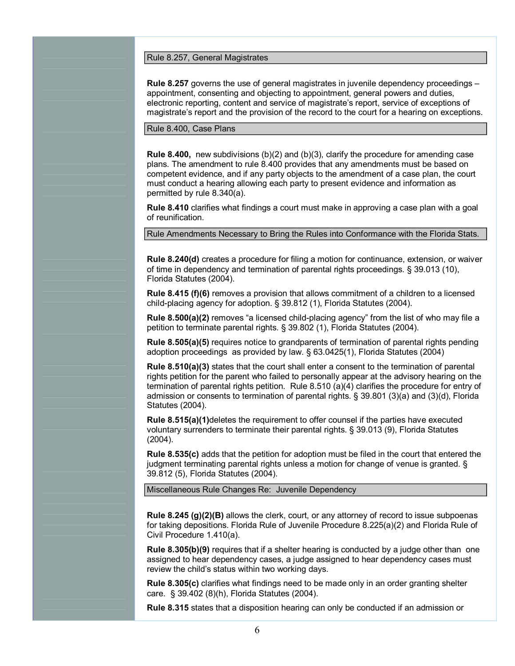Rule 8.257, General Magistrates

**Rule 8.257** governs the use of general magistrates in juvenile dependency proceedings – appointment, consenting and objecting to appointment, general powers and duties, electronic reporting, content and service of magistrate's report, service of exceptions of magistrate's report and the provision of the record to the court for a hearing on exceptions.

Rule 8.400, Case Plans

**Rule 8.400,** new subdivisions (b)(2) and (b)(3), clarify the procedure for amending case plans. The amendment to rule 8.400 provides that any amendments must be based on competent evidence, and if any party objects to the amendment of a case plan, the court must conduct a hearing allowing each party to present evidence and information as permitted by rule 8.340(a).

**Rule 8.410** clarifies what findings a court must make in approving a case plan with a goal of reunification.

Rule Amendments Necessary to Bring the Rules into Conformance with the Florida Stats.

**Rule 8.240(d)** creates a procedure for filing a motion for continuance, extension, or waiver of time in dependency and termination of parental rights proceedings. § 39.013 (10), Florida Statutes (2004).

**Rule 8.415 (f)(6)** removes a provision that allows commitment of a children to a licensed child-placing agency for adoption. § 39.812 (1), Florida Statutes (2004).

**Rule 8.500(a)(2)** removes "a licensed child-placing agency" from the list of who may file a petition to terminate parental rights. § 39.802 (1), Florida Statutes (2004).

**Rule 8.505(a)(5)** requires notice to grandparents of termination of parental rights pending adoption proceedings as provided by law. § 63.0425(1), Florida Statutes (2004)

**Rule 8.510(a)(3)** states that the court shall enter a consent to the termination of parental rights petition for the parent who failed to personally appear at the advisory hearing on the termination of parental rights petition. Rule 8.510 (a)(4) clarifies the procedure for entry of admission or consents to termination of parental rights. § 39.801 (3)(a) and (3)(d), Florida Statutes (2004).

**Rule 8.515(a)(1)**deletes the requirement to offer counsel if the parties have executed voluntary surrenders to terminate their parental rights. § 39.013 (9), Florida Statutes (2004).

**Rule 8.535(c)** adds that the petition for adoption must be filed in the court that entered the judgment terminating parental rights unless a motion for change of venue is granted. § 39.812 (5), Florida Statutes (2004).

Miscellaneous Rule Changes Re: Juvenile Dependency

**Rule 8.245 (g)(2)(B)** allows the clerk, court, or any attorney of record to issue subpoenas for taking depositions. Florida Rule of Juvenile Procedure 8.225(a)(2) and Florida Rule of Civil Procedure 1.410(a).

**Rule 8.305(b)(9)** requires that if a shelter hearing is conducted by a judge other than one assigned to hear dependency cases, a judge assigned to hear dependency cases must review the child's status within two working days.

**Rule 8.305(c)** clarifies what findings need to be made only in an order granting shelter care. § 39.402 (8)(h), Florida Statutes (2004).

**Rule 8.315** states that a disposition hearing can only be conducted if an admission or